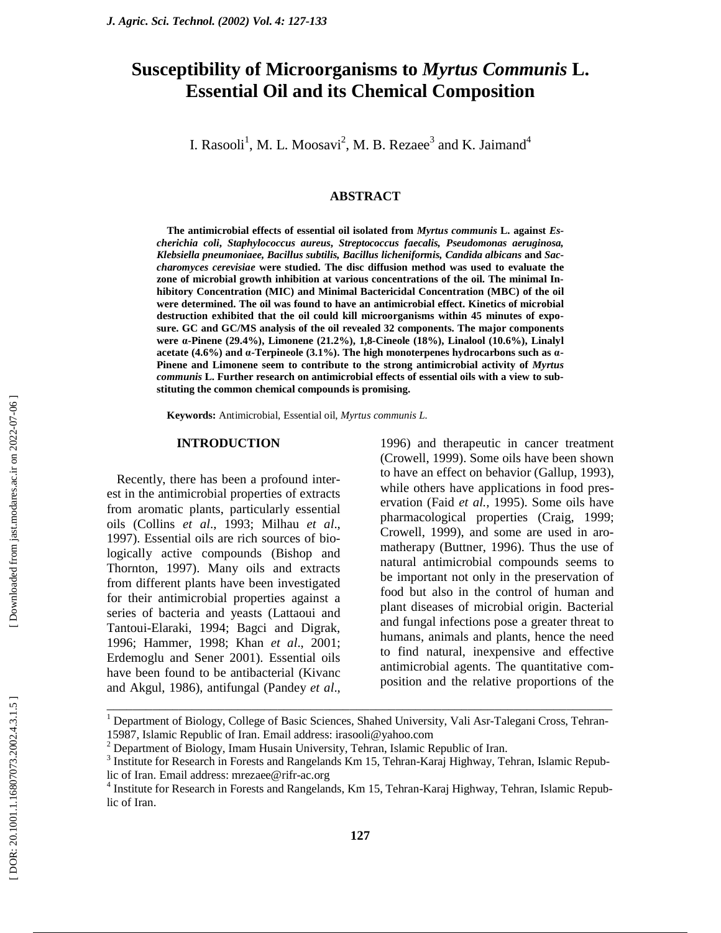# **Susceptibility of Microorganisms to** *Myrtus Communis* **L. Essential Oil and its Chemical Composition**

I. Rasooli<sup>1</sup>, M. L. Moosavi<sup>2</sup>, M. B. Rezaee<sup>3</sup> and K. Jaimand<sup>4</sup>

## **ABSTRACT**

**The antimicrobial effects of essential oil isolated from** *Myrtus communis* **L. against** *Escherichia coli***,** *Staphylococcus aureus***,** *Streptococcus faecalis, Pseudomonas aeruginosa, Klebsiella pneumoniaee, Bacillus subtilis, Bacillus licheniformis, Candida albicans* **and** *Saccharomyces cerevisiae* **were studied. The disc diffusion method was used to evaluate the zone of microbial growth inhibition at various concentrations of the oil. The minimal Inhibitory Concentration (MIC) and Minimal Bactericidal Concentration (MBC) of the oil were determined. The oil was found to have an antimicrobial effect. Kinetics of microbial destruction exhibited that the oil could kill microorganisms within 45 minutes of exposure. GC and GC/MS analysis of the oil revealed 32 components. The major components were α-Pinene (29.4%), Limonene (21.2%), 1,8-Cineole (18%), Linalool (10.6%), Linalyl acetate (4.6%) and α-Terpineole (3.1%). The high monoterpenes hydrocarbons such as α - Pinene and Limonene seem to contribute to the strong antimicrobial activity of** *Myrtus communis* **L. Further research on antimicrobial effects of essential oils with a view to substituting the common chemical compounds is promising.** 

**Keywords:** Antimicrobial, Essential oil, *Myrtus communis L.*

#### **INTRODUCTION**

Recently, there has been a profound interest in the antimicrobial properties of extracts from aromatic plants, particularly essential oils (Collins *et al*., 1993; Milhau *et al*., 1997). Essential oils are rich sources of biologically active compounds (Bishop and Thornton, 1997). Many oils and extracts from different plants have been investigated for their antimicrobial properties against a series of bacteria and yeasts (Lattaoui and Tantoui-Elaraki, 1994; Bagci and Digrak, 1996; Hammer, 1998; Khan *et al*., 2001; Erdemoglu and Sener 2001). Essential oils have been found to be antibacterial (Kivanc and Akgul, 1986), antifungal (Pandey *et al*., 1996) and therapeutic in cancer treatment (Crowell, 1999). Some oils have been shown to have an effect on behavior (Gallup, 1993), while others have applications in food preservation (Faid *et al.,* 1995). Some oils have pharmacological properties (Craig, 1999; Crowell, 1999), and some are used in aromatherapy (Buttner, 1996). Thus the use of natural antimicrobial compounds seems to be important not only in the preservation of food but also in the control of human and plant diseases of microbial origin. Bacterial and fungal infections pose a greater threat to humans, animals and plants, hence the need to find natural, inexpensive and effective antimicrobial agents. The quantitative composition and the relative proportions of the

\_\_\_\_\_\_\_\_\_\_\_\_\_\_\_\_\_\_\_\_\_\_\_\_\_\_\_\_\_\_\_\_\_\_\_\_\_\_\_\_\_\_\_\_\_\_\_\_\_\_\_\_\_\_\_\_\_\_\_\_\_\_\_\_\_\_\_\_\_\_\_\_\_\_\_\_\_ 1 Department of Biology, College of Basic Sciences, Shahed University, Vali Asr-Talegani Cross, Tehran-15987, Islamic Republic of Iran. Email address: irasooli@yahoo.com 2

<sup>&</sup>lt;sup>2</sup> Department of Biology, Imam Husain University, Tehran, Islamic Republic of Iran.

<sup>&</sup>lt;sup>3</sup> Institute for Research in Forests and Rangelands Km 15, Tehran-Karaj Highway, Tehran, Islamic Republic of Iran. Email address: mrezaee@rifr-ac.org 4

<sup>&</sup>lt;sup>4</sup> Institute for Research in Forests and Rangelands, Km 15, Tehran-Karaj Highway, Tehran, Islamic Republic of Iran.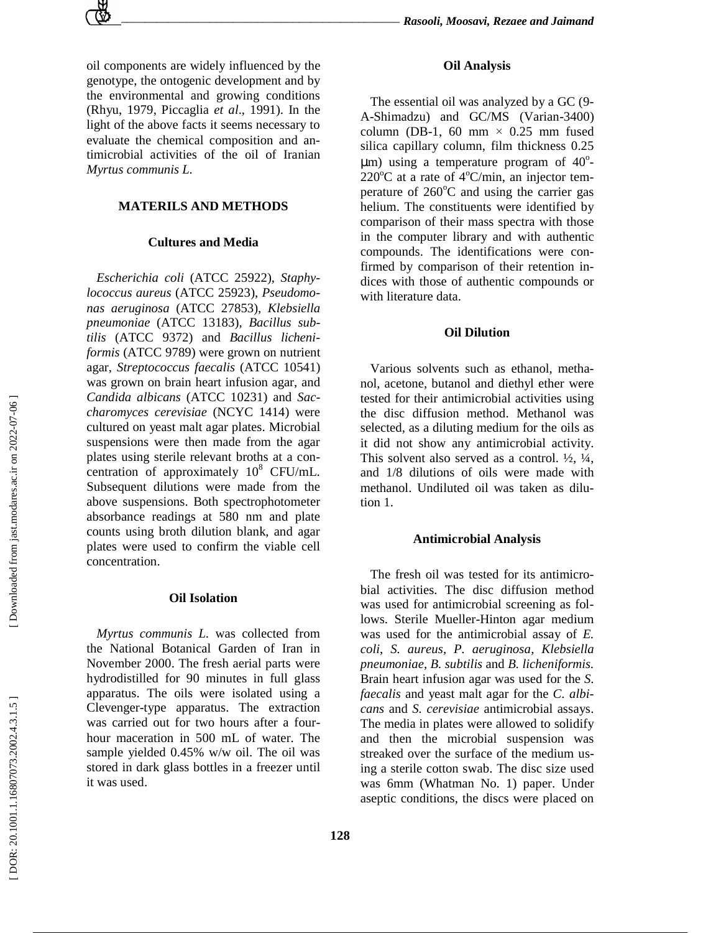oil components are widely influenced by the genotype, the ontogenic development and by the environmental and growing conditions (Rhyu, 1979, Piccaglia *et al*., 1991). In the light of the above facts it seems necessary to evaluate the chemical composition and antimicrobial activities of the oil of Iranian *Myrtus communis L.*

# **MATERILS AND METHODS**

# **Cultures and Media**

*Escherichia coli* (ATCC 25922), *Staphylococcus aureus* (ATCC 25923), *Pseudomonas aeruginosa* (ATCC 27853), *Klebsiella pneumoniae* (ATCC 13183), *Bacillus subtilis* (ATCC 9372) and *Bacillus licheniformis* (ATCC 9789) were grown on nutrient agar, *Streptococcus faecalis* (ATCC 10541) was grown on brain heart infusion agar, and *Candida albicans* (ATCC 10231) and *Saccharomyces cerevisiae* (NCYC 1414) were cultured on yeast malt agar plates. Microbial suspensions were then made from the agar plates using sterile relevant broths at a concentration of approximately  $10^8$  CFU/mL. Subsequent dilutions were made from the above suspensions. Both spectrophotometer absorbance readings at 580 nm and plate counts using broth dilution blank, and agar plates were used to confirm the viable cell concentration.

## **Oil Isolation**

*Myrtus communis L.* was collected from the National Botanical Garden of Iran in November 2000. The fresh aerial parts were hydrodistilled for 90 minutes in full glass apparatus. The oils were isolated using a Clevenger-type apparatus. The extraction was carried out for two hours after a fourhour maceration in 500 mL of water. The sample yielded 0.45% w/w oil. The oil was stored in dark glass bottles in a freezer until it was used.

The essential oil was analyzed by a GC (9- A-Shimadzu) and GC/MS (Varian-3400) column (DB-1, 60 mm  $\times$  0.25 mm fused silica capillary column, film thickness 0.25  $\mu$ m) using a temperature program of 40<sup>o</sup>- $220^{\circ}$ C at a rate of 4 $^{\circ}$ C/min, an injector temperature of 260°C and using the carrier gas helium. The constituents were identified by comparison of their mass spectra with those in the computer library and with authentic compounds. The identifications were confirmed by comparison of their retention indices with those of authentic compounds or with literature data.

## **Oil Dilution**

Various solvents such as ethanol, methanol, acetone, butanol and diethyl ether were tested for their antimicrobial activities using the disc diffusion method. Methanol was selected, as a diluting medium for the oils as it did not show any antimicrobial activity. This solvent also served as a control.  $\frac{1}{2}$ ,  $\frac{1}{4}$ , and 1/8 dilutions of oils were made with methanol. Undiluted oil was taken as dilution 1.

#### **Antimicrobial Analysis**

The fresh oil was tested for its antimicrobial activities. The disc diffusion method was used for antimicrobial screening as follows. Sterile Mueller-Hinton agar medium was used for the antimicrobial assay of *E. coli*, *S. aureus*, *P. aeruginosa*, *Klebsiella pneumoniae*, *B. subtilis* and *B. licheniformis.*  Brain heart infusion agar was used for the *S. faecalis* and yeast malt agar for the *C. albicans* and *S. cerevisiae* antimicrobial assays. The media in plates were allowed to solidify and then the microbial suspension was streaked over the surface of the medium using a sterile cotton swab. The disc size used was 6mm (Whatman No. 1) paper. Under aseptic conditions, the discs were placed on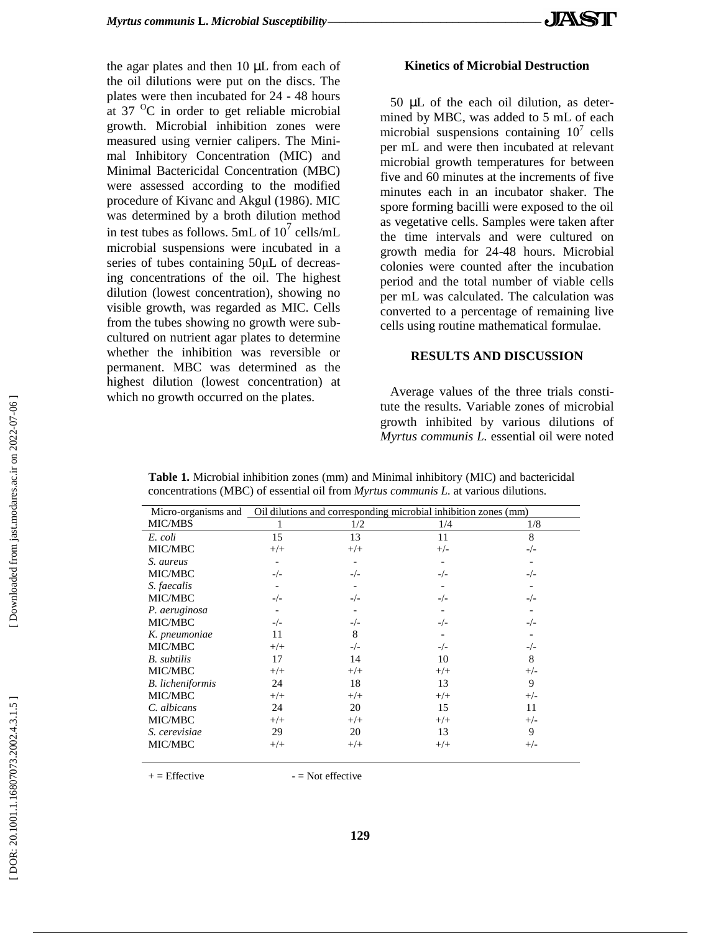the agar plates and then 10 µL from each of the oil dilutions were put on the discs. The plates were then incubated for 24 - 48 hours at 37  $\mathrm{^0C}$  in order to get reliable microbial growth. Microbial inhibition zones were measured using vernier calipers. The Minimal Inhibitory Concentration (MIC) and Minimal Bactericidal Concentration (MBC) were assessed according to the modified procedure of Kivanc and Akgul (1986). MIC was determined by a broth dilution method in test tubes as follows. 5mL of  $10^7$  cells/mL microbial suspensions were incubated in a series of tubes containing 50µL of decreasing concentrations of the oil. The highest dilution (lowest concentration), showing no visible growth, was regarded as MIC. Cells from the tubes showing no growth were subcultured on nutrient agar plates to determine whether the inhibition was reversible or permanent. MBC was determined as the highest dilution (lowest concentration) at which no growth occurred on the plates.

# **Kinetics of Microbial Destruction**

50 µL of the each oil dilution, as determined by MBC, was added to 5 mL of each microbial suspensions containing  $10^7$  cells per mL and were then incubated at relevant microbial growth temperatures for between five and 60 minutes at the increments of five minutes each in an incubator shaker. The spore forming bacilli were exposed to the oil as vegetative cells. Samples were taken after the time intervals and were cultured on growth media for 24-48 hours. Microbial colonies were counted after the incubation period and the total number of viable cells per mL was calculated. The calculation was converted to a percentage of remaining live cells using routine mathematical formulae.

# **RESULTS AND DISCUSSION**

Average values of the three trials constitute the results. Variable zones of microbial growth inhibited by various dilutions of *Myrtus communis L.* essential oil were noted

Micro-organisms and Oil dilutions and corresponding microbial inhibition zones (mm) 1  $1/2$   $1/4$   $1/8$ MIC/MBS 8 -/- - -/- - -/- - -/- - -/- 8 +/- 9 +/- 11 +/- 9 +/- 11 +/- - -/- - -/- - -/- - -/- 10  $^{+/+}$ 13  $^{+/+}$ 15  $^{+/+}$ 13 +/+ 13  $^{+/+}$ - -/- - -/- - -/- 8 -/- 14  $^{+/+}$ 18  $^{+/+}$ 20  $^{+/+}$ 20 +/+ 15 +/+ - -/- - -/- - -/- 11  $^{+/+}$ 17  $^{+/+}$ 24 +/+ 24 +/+ 29  $+/+$ *E. coli* MIC/MBC *S. aureus*  MIC/MBC *S. faecalis* MIC/MBC *P. aeruginosa* MIC/MBC *K. pneumoniae*  MIC/MBC *B. subtilis*  MIC/MBC *B. licheniformis*  MIC/MBC *C. albicans*  MIC/MBC *S. cerevisiae* MIC/MBC

**129** 

| Table 1. Microbial inhibition zones (mm) and Minimal inhibitory (MIC) and bactericidal      |
|---------------------------------------------------------------------------------------------|
| concentrations (MBC) of essential oil from <i>Myrtus communis L</i> . at various dilutions. |

 $+ =$  Effective  $- =$  Not effective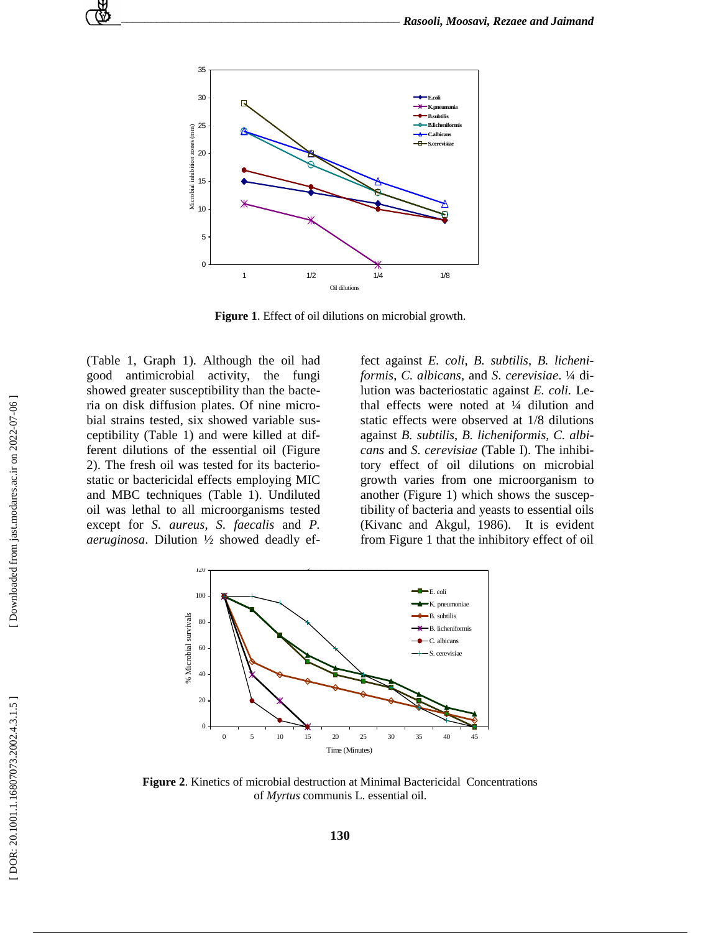

**Figure 1**. Effect of oil dilutions on microbial growth.

(Table 1, Graph 1). Although the oil had good antimicrobial activity, the fungi showed greater susceptibility than the bacteria on disk diffusion plates. Of nine microbial strains tested, six showed variable susceptibility (Table 1) and were killed at different dilutions of the essential oil (Figure 2). The fresh oil was tested for its bacteriostatic or bactericidal effects employing MIC and MBC techniques (Table 1). Undiluted oil was lethal to all microorganisms tested except for *S. aureus*, *S. faecalis* and *P. aeruginosa*. Dilution ½ showed deadly ef-

fect against *E. coli*, *B. subtilis*, *B. licheniformis*, *C. albicans,* and *S. cerevisiae*. ¼ dilution was bacteriostatic against *E. coli.* Lethal effects were noted at ¼ dilution and static effects were observed at 1/8 dilutions against *B. subtilis*, *B. licheniformis*, *C. albicans* and *S. cerevisiae* (Table I). The inhibitory effect of oil dilutions on microbial growth varies from one microorganism to another (Figure 1) which shows the susceptibility of bacteria and yeasts to essential oils (Kivanc and Akgul, 1986). It is evident from Figure 1 that the inhibitory effect of oil



**Figure 2**. Kinetics of microbial destruction at Minimal Bactericidal Concentrations of *Myrtus* communis L. essential oil.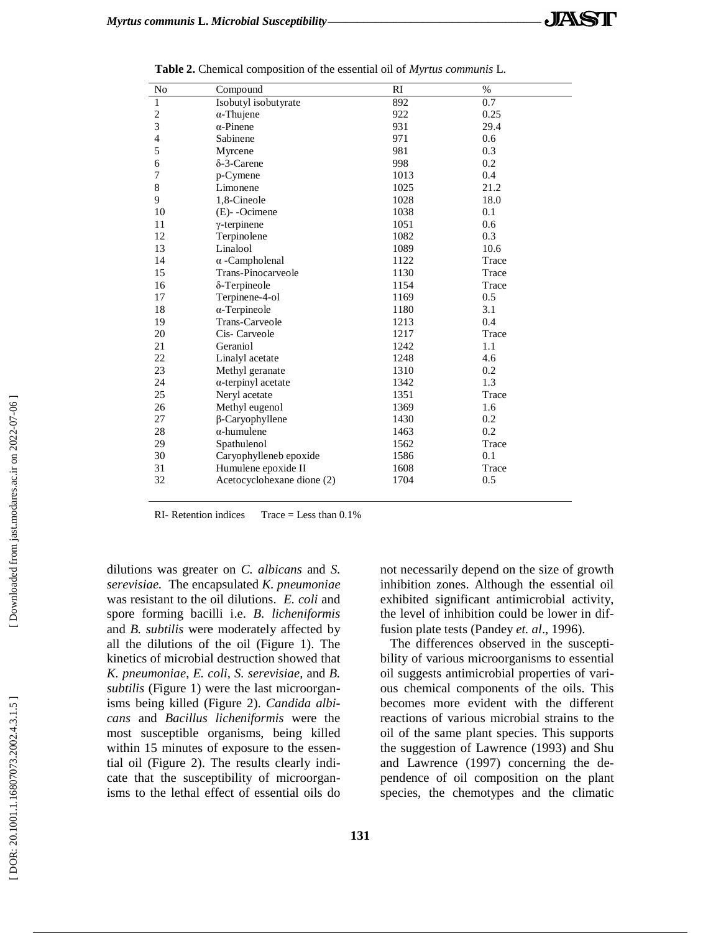| No             | Compound                   | RI   | $\%$  |
|----------------|----------------------------|------|-------|
| $\mathbf{1}$   | Isobutyl isobutyrate       | 892  | 0.7   |
| $\sqrt{2}$     | $\alpha$ -Thujene          | 922  | 0.25  |
| 3              | $\alpha$ -Pinene           | 931  | 29.4  |
| $\overline{4}$ | Sabinene                   | 971  | 0.6   |
| 5              | Myrcene                    | 981  | 0.3   |
| 6              | $\delta$ -3-Carene         | 998  | 0.2   |
| 7              | p-Cymene                   | 1013 | 0.4   |
| 8              | Limonene                   | 1025 | 21.2  |
| 9              | 1,8-Cineole                | 1028 | 18.0  |
| 10             | $(E)$ -Ocimene             | 1038 | 0.1   |
| 11             | $\gamma$ -terpinene        | 1051 | 0.6   |
| 12             | Terpinolene                | 1082 | 0.3   |
| 13             | Linalool                   | 1089 | 10.6  |
| 14             | $\alpha$ -Campholenal      | 1122 | Trace |
| 15             | Trans-Pinocarveole         | 1130 | Trace |
| 16             | δ-Terpineole               | 1154 | Trace |
| 17             | Terpinene-4-ol             | 1169 | 0.5   |
| 18             | $\alpha$ -Terpineole       | 1180 | 3.1   |
| 19             | Trans-Carveole             | 1213 | 0.4   |
| 20             | Cis- Carveole              | 1217 | Trace |
| 21             | Geraniol                   | 1242 | 1.1   |
| 22             | Linalyl acetate            | 1248 | 4.6   |
| 23             | Methyl geranate            | 1310 | 0.2   |
| 24             | $\alpha$ -terpinyl acetate | 1342 | 1.3   |
| 25             | Neryl acetate              | 1351 | Trace |
| 26             | Methyl eugenol             | 1369 | 1.6   |
| 27             | $\beta$ -Caryophyllene     | 1430 | 0.2   |
| 28             | $\alpha$ -humulene         | 1463 | 0.2   |
| 29             | Spathulenol                | 1562 | Trace |
| 30             | Caryophylleneb epoxide     | 1586 | 0.1   |
| 31             | Humulene epoxide II        | 1608 | Trace |
| 32             | Acetocyclohexane dione (2) | 1704 | 0.5   |

**Table 2 .** Chemical composition of the essential oil of *Myrtus communis* L.

RI- Retention indices Trace = Less than 0.1%

dilutions was greater on *C. albicans* and *S. serevisiae.* The encapsulated *K. pneumoniae* was resistant to the oil dilutions. *E. coli* and spore forming bacilli i.e. *B. licheniformis* and *B. subtilis* were moderately affected by all the dilutions of the oil (Figure 1). The kinetics of microbial destruction showed that *K. pneumoniae*, *E. coli, S. serevisiae,* and *B. subtilis* (Figure 1) were the last microorganisms being killed (Figure 2). *Candida albicans* and *Bacillus licheniformis* were the most susceptible organisms, being killed within 15 minutes of exposure to the essential oil (Figure 2). The results clearly indicate that the susceptibility of microorganisms to the lethal effect of essential oils do not necessarily depend on the size of growth inhibition zones. Although the essential oil exhibited significant antimicrobial activity, the level of inhibition could be lower in diffusion plate tests (Pandey *et. al*., 1996).

The differences observed in the susceptibility of various microorganisms to essential oil suggests antimicrobial properties of various chemical components of the oils. This becomes more evident with the different reactions of various microbial strains to the oil of the same plant species. This supports the suggestion of Lawrence (1993) and Shu and Lawrence (1997) concerning the dependence of oil composition on the plant species, the chemotypes and the climatic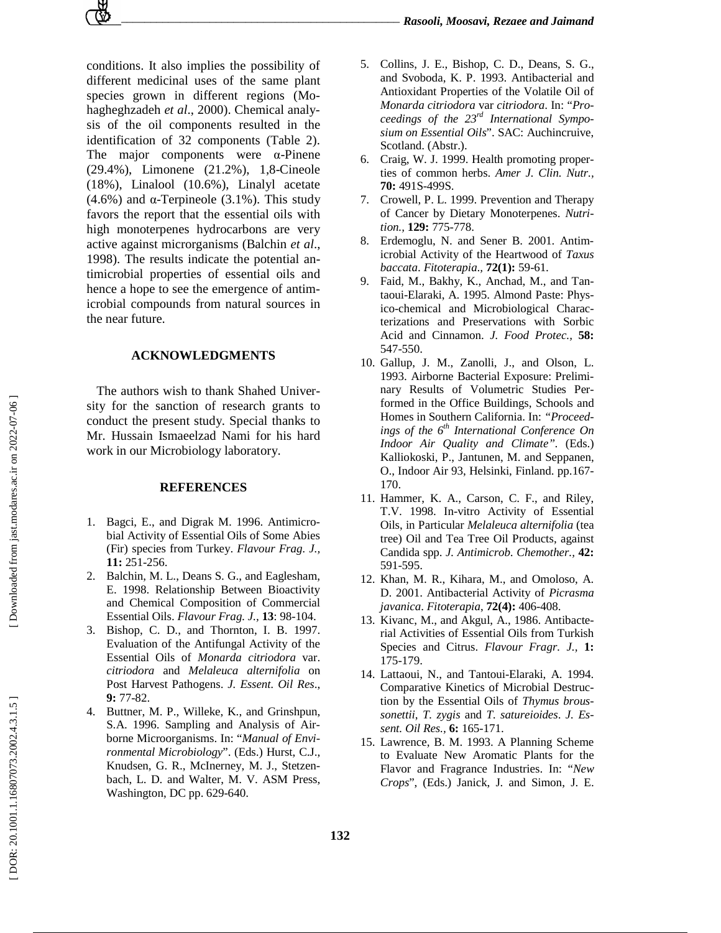*\_\_\_\_\_\_\_\_\_\_\_\_\_\_\_\_\_\_\_\_\_\_\_\_\_\_\_\_\_\_\_\_\_\_\_\_\_\_\_\_\_\_\_\_\_\_\_\_\_ Rasooli, Moosavi, Rezaee and Jaimand*

conditions. It also implies the possibility of different medicinal uses of the same plant species grown in different regions (Mohagheghzadeh *et al*., 2000). Chemical analysis of the oil components resulted in the identification of 32 components (Table 2). The major components were α-Pinene (29.4%), Limonene (21.2%), 1,8-Cineole (18%), Linalool (10.6%), Linalyl acetate (4.6%) and α-Terpineole (3.1%). This study favors the report that the essential oils with high monoterpenes hydrocarbons are very active against microrganisms (Balchin *et al*., 1998). The results indicate the potential antimicrobial properties of essential oils and hence a hope to see the emergence of antimicrobial compounds from natural sources in the near future.

## **ACKNOWLEDGMENTS**

The authors wish to thank Shahed University for the sanction of research grants to conduct the present study. Special thanks to Mr. Hussain Ismaeelzad Nami for his hard work in our Microbiology laboratory.

#### **REFERENCES**

- 1. Bagci, E., and Digrak M. 1996. Antimicrobial Activity of Essential Oils of Some Abies (Fir) species from Turkey. *Flavour Frag. J.,*  **11:** 251-256.
- 2. Balchin, M. L., Deans S. G., and Eaglesham, E. 1998. Relationship Between Bioactivity and Chemical Composition of Commercial Essential Oils. *Flavour Frag. J.,* **13**: 98-104.
- Bishop, C. D., and Thornton, I. B. 1997. Evaluation of the Antifungal Activity of the Essential Oils of *Monarda citriodora* var. *citriodora* and *Melaleuca alternifolia* on Post Harvest Pathogens. *J. Essent. Oil Res*., **9:** 77-82.
- 4. Buttner, M. P., Willeke, K., and Grinshpun, S.A. 1996. Sampling and Analysis of Airborne Microorganisms. In: "*Manual of Environmental Microbiology*". (Eds.) Hurst, C.J., Knudsen, G. R., McInerney, M. J., Stetzenbach, L. D. and Walter, M. V. ASM Press, Washington, DC pp. 629-640.
- 5. Collins, J. E., Bishop, C. D., Deans, S. G., and Svoboda, K. P. 1993. Antibacterial and Antioxidant Properties of the Volatile Oil of *Monarda citriodora* var *citriodora*. In: "*Proceedings of the 23rd International Symposium on Essential Oils*". SAC: Auchincruive, Scotland. (Abstr.).
- 6. Craig, W. J. 1999. Health promoting properties of common herbs. *Amer J. Clin. Nutr.,* **70:** 491S-499S.
- 7. Crowell, P. L. 1999. Prevention and Therapy of Cancer by Dietary Monoterpenes. *Nutrition.,* **129:** 775-778.
- 8. Erdemoglu, N. and Sener B. 2001. Antimicrobial Activity of the Heartwood of *Taxus baccata*. *Fitoterapia.,* **72(1):** 59-61.
- 9. Faid, M., Bakhy, K., Anchad, M., and Tantaoui-Elaraki, A. 1995. Almond Paste: Physico-chemical and Microbiological Characterizations and Preservations with Sorbic Acid and Cinnamon. *J. Food Protec.,* **58:** 547-550.
- 10. Gallup, J. M., Zanolli, J., and Olson, L. 1993. Airborne Bacterial Exposure: Preliminary Results of Volumetric Studies Performed in the Office Buildings, Schools and Homes in Southern California. In: *"Proceed*ings of the 6<sup>th</sup> International Conference On *Indoor Air Quality and Climate".* (Eds.) Kalliokoski, P., Jantunen, M. and Seppanen, O., Indoor Air 93, Helsinki, Finland. pp.167- 170.
- 11. Hammer, K. A., Carson, C. F., and Riley, T.V. 1998. In-vitro Activity of Essential Oils, in Particular *Melaleuca alternifolia* (tea tree) Oil and Tea Tree Oil Products, against Candida spp. *J. Antimicrob. Chemother.,* **42:** 591-595.
- 12. Khan, M. R., Kihara, M., and Omoloso, A. D. 2001. Antibacterial Activity of *Picrasma javanica*. *Fitoterapia*, **72(4):** 406-408.
- 13. Kivanc, M., and Akgul, A., 1986. Antibacterial Activities of Essential Oils from Turkish Species and Citrus. *Flavour Fragr. J.,* **1:** 175-179.
- 14. Lattaoui, N., and Tantoui-Elaraki, A. 1994. Comparative Kinetics of Microbial Destruction by the Essential Oils of *Thymus broussonettii*, *T. zygis* and *T. satureioides*. *J. Essent. Oil Res.,* **6:** 165-171.
- 15. Lawrence, B. M. 1993. A Planning Scheme to Evaluate New Aromatic Plants for the Flavor and Fragrance Industries. In: "*New Crops*", (Eds.) Janick, J. and Simon, J. E.